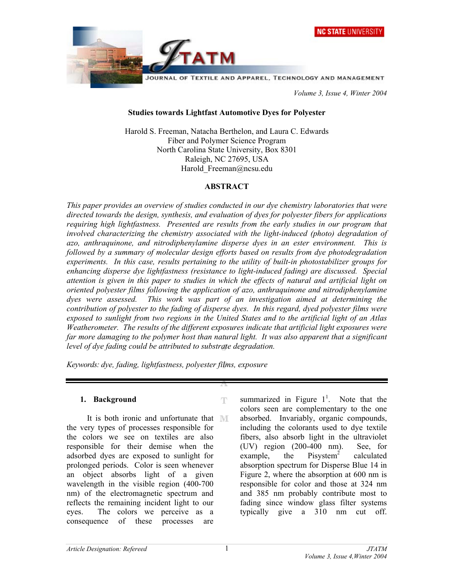

 *Volume 3, Issue 4, Winter 2004* 

## **Studies towards Lightfast Automotive Dyes for Polyester**

Harold S. Freeman, Natacha Berthelon, and Laura C. Edwards Fiber and Polymer Science Program North Carolina State University, Box 8301 Raleigh, NC 27695, USA Harold Freeman@ncsu.edu

## **ABSTRACT**

*This paper provides an overview of studies conducted in our dye chemistry laboratories that were directed towards the design, synthesis, and evaluation of dyes for polyester fibers for applications requiring high lightfastness. Presented are results from the early studies in our program that involved characterizing the chemistry associated with the light-induced (photo) degradation of azo, anthraquinone, and nitrodiphenylamine disperse dyes in an ester environment. This is followed by a summary of molecular design efforts based on results from dye photodegradation experiments. In this case, results pertaining to the utility of built-in photostabilizer groups for enhancing disperse dye lightfastness (resistance to light-induced fading) are discussed. Special attention is given in this paper to studies in which the effects of natural and artificial light on oriented polyester films following the application of azo, anthraquinone and nitrodiphenylamine dyes were assessed. This work was part of an investigation aimed at determining the contribution of polyester to the fading of disperse dyes. In this regard, dyed polyester films were exposed to sunlight from two regions in the United States and to the artificial light of an Atlas Weatherometer. The results of the different exposures indicate that artificial light exposures were far more damaging to the polymer host than natural light. It was also apparent that a significant level of dye fading could be attributed to substrate degradation.* 

Ŧ

*Keywords: dye, fading, lightfastness, polyester films, exposure* 

### **1. Background**

It is both ironic and unfortunate that MI the very types of processes responsible for the colors we see on textiles are also responsible for their demise when the adsorbed dyes are exposed to sunlight for prolonged periods. Color is seen whenever an object absorbs light of a given wavelength in the visible region (400-700 nm) of the electromagnetic spectrum and reflects the remaining incident light to our eyes. The colors we perceive as a consequence of these processes are

summarized in Figure  $1^1$ . Note that the colors seen are complementary to the one absorbed. Invariably, organic compounds, including the colorants used to dye textile fibers, also absorb light in the ultraviolet (UV) region (200-400 nm). See, for example, the Pisystem<sup>2</sup> calculated absorption spectrum for Disperse Blue 14 in Figure 2, where the absorption at 600 nm is responsible for color and those at 324 nm and 385 nm probably contribute most to fading since window glass filter systems typically give a 310 nm cut off.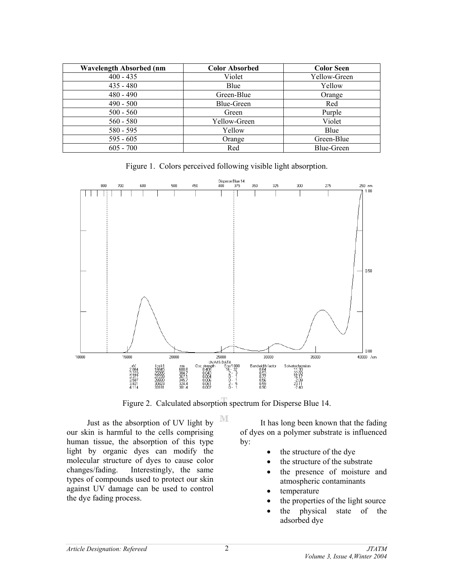| <b>Wavelength Absorbed (nm</b> | <b>Color Absorbed</b> | <b>Color Seen</b> |
|--------------------------------|-----------------------|-------------------|
| $400 - 435$                    | Violet                | Yellow-Green      |
| $435 - 480$                    | Blue                  | Yellow            |
| $480 - 490$                    | Green-Blue            | Orange            |
| $490 - 500$                    | Blue-Green            | Red               |
| $500 - 560$                    | Green                 | Purple            |
| $560 - 580$                    | Yellow-Green          | Violet            |
| $580 - 595$                    | Yellow                | Blue              |
| $595 - 605$                    | Orange                | Green-Blue        |
| $605 - 700$                    | Red                   | Blue-Green        |

Figure 1. Colors perceived following visible light absorption.



Figure 2. Calculated absorption spectrum for Disperse Blue 14.

M

Just as the absorption of UV light by our skin is harmful to the cells comprising human tissue, the absorption of this type light by organic dyes can modify the molecular structure of dyes to cause color changes/fading. Interestingly, the same types of compounds used to protect our skin against UV damage can be used to control the dye fading process.

 It has long been known that the fading of dyes on a polymer substrate is influenced by:

- the structure of the dye
- the structure of the substrate
- the presence of moisture and atmospheric contaminants
- temperature
- the properties of the light source
- the physical state of the adsorbed dye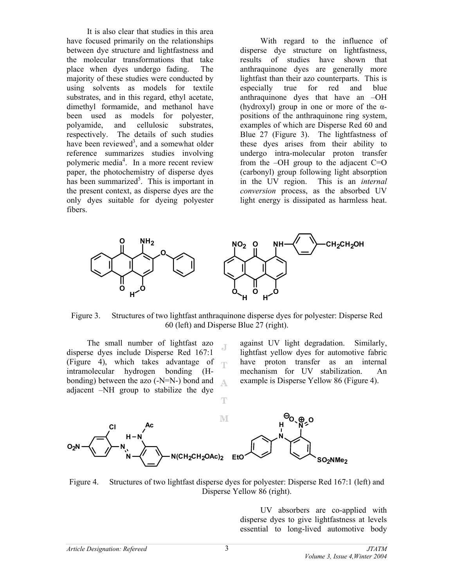It is also clear that studies in this area have focused primarily on the relationships between dye structure and lightfastness and the molecular transformations that take place when dyes undergo fading. The majority of these studies were conducted by using solvents as models for textile substrates, and in this regard, ethyl acetate, dimethyl formamide, and methanol have been used as models for polyester, polyamide, and cellulosic substrates, respectively. The details of such studies have been reviewed<sup>3</sup>, and a somewhat older reference summarizes studies involving polymeric media<sup>4</sup>. In a more recent review paper, the photochemistry of disperse dyes has been summarized<sup>5</sup>. This is important in the present context, as disperse dyes are the only dyes suitable for dyeing polyester fibers.

 With regard to the influence of disperse dye structure on lightfastness, results of studies have shown that anthraquinone dyes are generally more lightfast than their azo counterparts. This is especially true for red and blue anthraquinone dyes that have an –OH (hydroxyl) group in one or more of the αpositions of the anthraquinone ring system, examples of which are Disperse Red 60 and Blue 27 (Figure 3). The lightfastness of these dyes arises from their ability to undergo intra-molecular proton transfer from the  $-OH$  group to the adjacent  $C=O$ (carbonyl) group following light absorption in the UV region. This is an *internal conversion* process, as the absorbed UV light energy is dissipated as harmless heat.



Figure 3. Structures of two lightfast anthraquinone disperse dyes for polyester: Disperse Red 60 (left) and Disperse Blue 27 (right).

T

The small number of lightfast azo disperse dyes include Disperse Red 167:1 (Figure 4), which takes advantage of  $\blacksquare$ intramolecular hydrogen bonding (Hbonding) between the azo (-N=N-) bond and  $\Delta.$ adjacent –NH group to stabilize the dye

against UV light degradation. Similarly, lightfast yellow dyes for automotive fabric have proton transfer as an internal mechanism for UV stabilization. An example is Disperse Yellow 86 (Figure 4).



Figure 4. Structures of two lightfast disperse dyes for polyester: Disperse Red 167:1 (left) and Disperse Yellow 86 (right).

UV absorbers are co-applied with disperse dyes to give lightfastness at levels essential to long-lived automotive body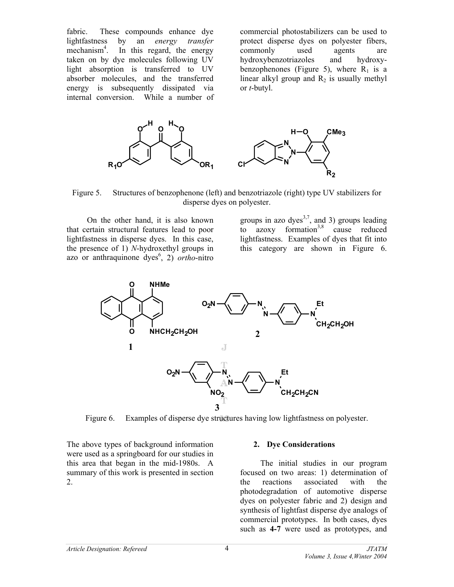fabric. These compounds enhance dye lightfastness by an *energy transfer* mechanism<sup>4</sup>. . In this regard, the energy taken on by dye molecules following UV light absorption is transferred to UV absorber molecules, and the transferred energy is subsequently dissipated via internal conversion. While a number of

commercial photostabilizers can be used to protect disperse dyes on polyester fibers, commonly used agents are hydroxybenzotriazoles and hydroxybenzophenones (Figure 5), where  $R_1$  is a linear alkyl group and  $R_2$  is usually methyl or *t*-butyl.



Figure 5. Structures of benzophenone (left) and benzotriazole (right) type UV stabilizers for disperse dyes on polyester.

On the other hand, it is also known that certain structural features lead to poor lightfastness in disperse dyes. In this case, the presence of 1) *N*-hydroxethyl groups in azo or anthraquinone dyes<sup>6</sup>, 2) *ortho*-nitro

groups in azo dyes<sup>3,7</sup>, and 3) groups leading to  $a\bar{z}oxy$  formation<sup>3,8</sup> cause reduced lightfastness. Examples of dyes that fit into this category are shown in Figure 6.



Figure 6. Examples of disperse dye structures having low lightfastness on polyester.

The above types of background information were used as a springboard for our studies in this area that began in the mid-1980s. A summary of this work is presented in section 2.

### **2. Dye Considerations**

 The initial studies in our program focused on two areas: 1) determination of the reactions associated with the photodegradation of automotive disperse dyes on polyester fabric and 2) design and synthesis of lightfast disperse dye analogs of commercial prototypes. In both cases, dyes such as **4-7** were used as prototypes, and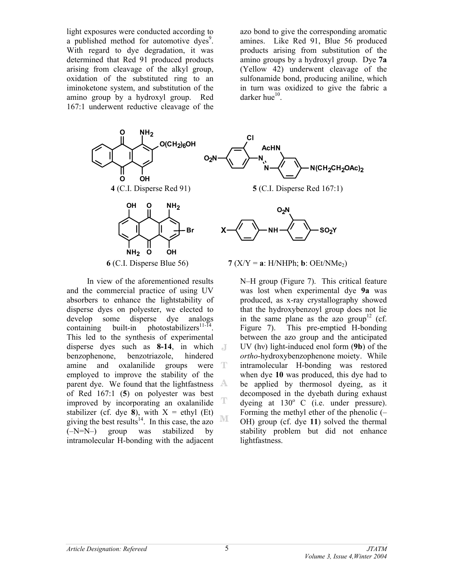light exposures were conducted according to a published method for automotive dyes<sup>9</sup>. With regard to dye degradation, it was determined that Red 91 produced products arising from cleavage of the alkyl group, oxidation of the substituted ring to an iminoketone system, and substitution of the amino group by a hydroxyl group. Red 167:1 underwent reductive cleavage of the azo bond to give the corresponding aromatic amines. Like Red 91, Blue 56 produced products arising from substitution of the amino groups by a hydroxyl group. Dye **7a** (Yellow 42) underwent cleavage of the sulfonamide bond, producing aniline, which in turn was oxidized to give the fabric a darker hue $10$ .



In view of the aforementioned results and the commercial practice of using UV absorbers to enhance the lightstability of disperse dyes on polyester, we elected to develop some disperse dye analogs containing built-in photostabilizers<sup>11-14</sup>. This led to the synthesis of experimental disperse dyes such as **8-14**, in which benzophenone, benzotriazole, hindered amine and oxalanilide groups were T employed to improve the stability of the parent dye. We found that the lightfastness  $\mathbb{A}$ of Red 167:1 (**5**) on polyester was best T improved by incorporating an oxalanilide stabilizer (cf. dye  $\hat{\mathbf{8}}$ ), with  $X =$  ethyl (Et) M giving the best results<sup>14</sup>. In this case, the azo (–N=N–) group was stabilized by intramolecular H-bonding with the adjacent

N–H group (Figure 7). This critical feature was lost when experimental dye **9a** was produced, as x-ray crystallography showed that the hydroxybenzoyl group does not lie in the same plane as the azo group<sup>12</sup> (cf. Figure 7). This pre-emptied H-bonding between the azo group and the anticipated UV (hν) light-induced enol form (**9b**) of the *ortho*-hydroxybenzophenone moiety. While intramolecular H-bonding was restored when dye **10** was produced, this dye had to be applied by thermosol dyeing, as it decomposed in the dyebath during exhaust dyeing at  $130^{\circ}$  C (i.e. under pressure). Forming the methyl ether of the phenolic (– OH) group (cf. dye **11**) solved the thermal stability problem but did not enhance lightfastness.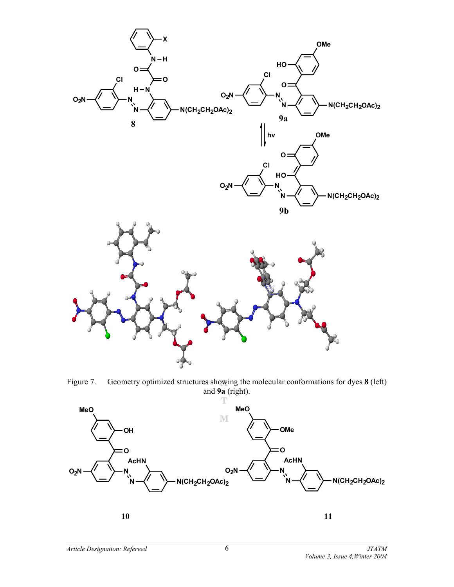

Figure 7. Geometry optimized structures showing the molecular conformations for dyes **8** (left) and **9a** (right).

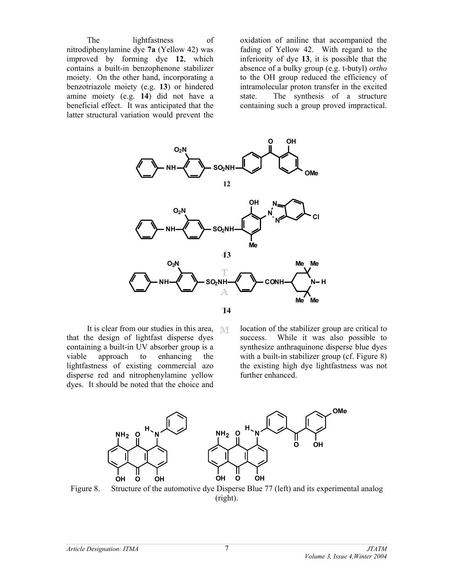The lightfastness of nitrodiphenylamine dye **7a** (Yellow 42) was improved by forming dye **12**, which contains a built-in benzophenone stabilizer moiety. On the other hand, incorporating a benzotriazole moiety (e.g. **13**) or hindered amine moiety (e.g. **14**) did not have a beneficial effect. It was anticipated that the latter structural variation would prevent the

oxidation of aniline that accompanied the fading of Yellow 42. With regard to the inferiority of dye **13**, it is possible that the absence of a bulky group (e.g. t-butyl) *ortho* to the OH group reduced the efficiency of intramolecular proton transfer in the excited state. The synthesis of a structure containing such a group proved impractical.



It is clear from our studies in this area, MT that the design of lightfast disperse dyes containing a built-in UV absorber group is a viable approach to enhancing the lightfastness of existing commercial azo disperse red and nitrophenylamine yellow dyes. It should be noted that the choice and

location of the stabilizer group are critical to success. While it was also possible to synthesize anthraquinone disperse blue dyes with a built-in stabilizer group (cf. Figure 8) the existing high dye lightfastness was not further enhanced.



Figure 8. Structure of the automotive dye Disperse Blue 77 (left) and its experimental analog (right).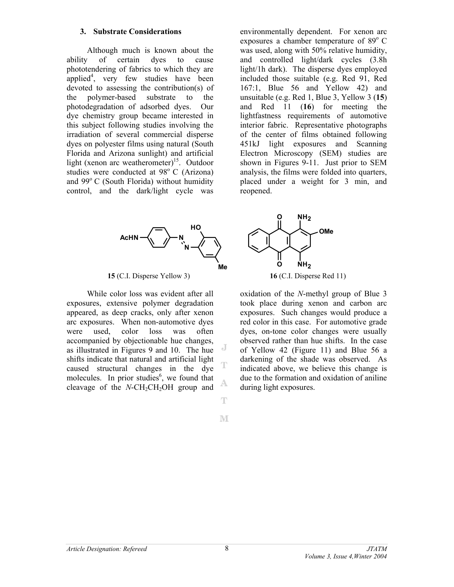#### **3. Substrate Considerations**

 Although much is known about the ability of certain dyes to cause phototendering of fabrics to which they are applied<sup>4</sup>, very few studies have been devoted to assessing the contribution(s) of the polymer-based substrate to the photodegradation of adsorbed dyes. Our dye chemistry group became interested in this subject following studies involving the irradiation of several commercial disperse dyes on polyester films using natural (South Florida and Arizona sunlight) and artificial light (xenon arc weatherometer)<sup>15</sup>. Outdoor studies were conducted at  $98^\circ$  C (Arizona) and  $99^{\circ}$  C (South Florida) without humidity control, and the dark/light cycle was

environmentally dependent. For xenon arc exposures a chamber temperature of  $89^{\circ}$  C was used, along with 50% relative humidity, and controlled light/dark cycles (3.8h light/1h dark). The disperse dyes employed included those suitable (e.g. Red 91, Red 167:1, Blue 56 and Yellow 42) and unsuitable (e.g. Red 1, Blue 3, Yellow 3 (**15**) and Red 11 (**16**) for meeting the lightfastness requirements of automotive interior fabric. Representative photographs of the center of films obtained following 451kJ light exposures and Scanning Electron Microscopy (SEM) studies are shown in Figures 9-11. Just prior to SEM analysis, the films were folded into quarters, placed under a weight for 3 min, and reopened.



**15** (C.I. Disperse Yellow 3) **16** (C.I. Disperse Red 11)

While color loss was evident after all exposures, extensive polymer degradation appeared, as deep cracks, only after xenon arc exposures. When non-automotive dyes were used, color loss was often accompanied by objectionable hue changes, as illustrated in Figures 9 and 10. The hue shifts indicate that natural and artificial light caused structural changes in the dye molecules. In prior studies $6$ , we found that cleavage of the  $N$ -CH<sub>2</sub>CH<sub>2</sub>OH group and



oxidation of the *N*-methyl group of Blue 3 took place during xenon and carbon arc exposures. Such changes would produce a red color in this case. For automotive grade dyes, on-tone color changes were usually observed rather than hue shifts. In the case of Yellow 42 (Figure 11) and Blue 56 a darkening of the shade was observed. As indicated above, we believe this change is due to the formation and oxidation of aniline during light exposures.

M

A

 $\mathbb T$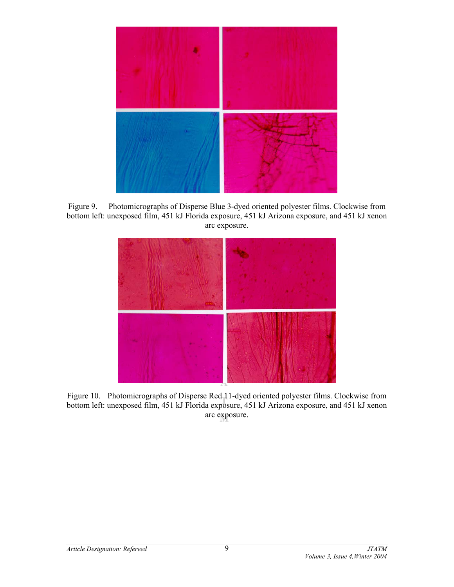

Figure 9. Photomicrographs of Disperse Blue 3-dyed oriented polyester films. Clockwise from bottom left: unexposed film, 451 kJ Florida exposure, 451 kJ Arizona exposure, and 451 kJ xenon arc exposure.



Figure 10. Photomicrographs of Disperse Red 11-dyed oriented polyester films. Clockwise from bottom left: unexposed film, 451 kJ Florida exposure, 451 kJ Arizona exposure, and 451 kJ xenon arc exposure.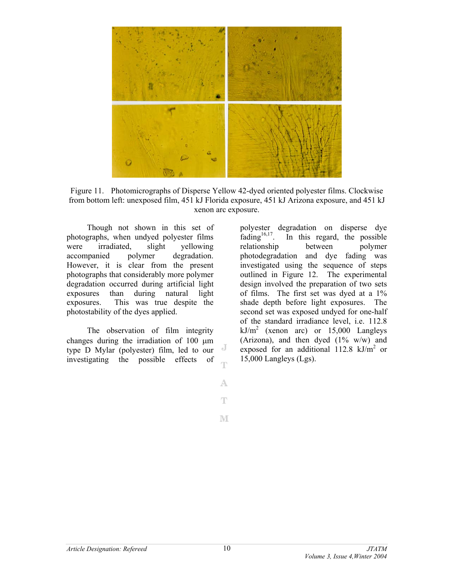

Figure 11. Photomicrographs of Disperse Yellow 42-dyed oriented polyester films. Clockwise from bottom left: unexposed film, 451 kJ Florida exposure, 451 kJ Arizona exposure, and 451 kJ xenon arc exposure.

Though not shown in this set of photographs, when undyed polyester films were irradiated, slight yellowing accompanied polymer degradation. However, it is clear from the present photographs that considerably more polymer degradation occurred during artificial light exposures than during natural light exposures. This was true despite the photostability of the dyes applied.

 The observation of film integrity changes during the irradiation of 100 µm J type D Mylar (polyester) film, led to our investigating the possible effects of Ŧ

polyester degradation on disperse dye<br>fading<sup>16,17</sup>. In this regard, the possible In this regard, the possible relationship between polymer photodegradation and dye fading was investigated using the sequence of steps outlined in Figure 12. The experimental design involved the preparation of two sets of films. The first set was dyed at a 1% shade depth before light exposures. The second set was exposed undyed for one-half of the standard irradiance level, i.e. 112.8  $kJ/m<sup>2</sup>$  (xenon arc) or 15,000 Langleys (Arizona), and then dyed  $(1\% \t w/w)$  and exposed for an additional  $112.8 \text{ kJ/m}^2$  or 15,000 Langleys (Lgs).

A  $\mathbb T$ 

M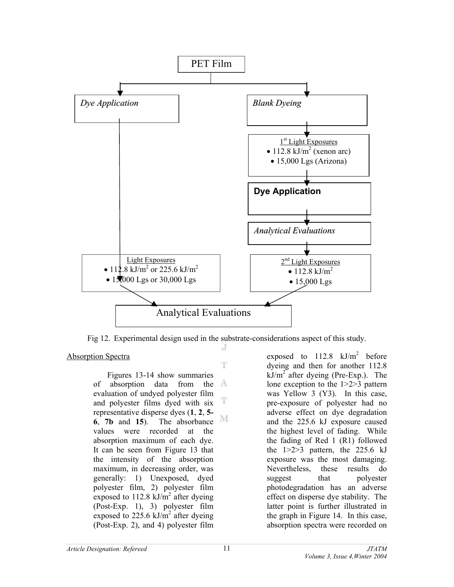

Fig 12. Experimental design used in the substrate-considerations aspect of this study. J

T

Absorption Spectra

 Figures 13-14 show summaries of absorption data from the evaluation of undyed polyester film T and polyester films dyed with six representative disperse dyes (**1**, **2**, **5-** M **6**, **7b** and **15**). The absorbance values were recorded at the absorption maximum of each dye. It can be seen from Figure 13 that the intensity of the absorption maximum, in decreasing order, was generally: 1) Unexposed, dyed polyester film, 2) polyester film exposed to  $112.8 \text{ kJ/m}^2$  after dyeing (Post-Exp. 1), 3) polyester film exposed to 225.6  $kJ/m^2$  after dyeing (Post-Exp. 2), and 4) polyester film

exposed to  $112.8$  kJ/m<sup>2</sup> before dyeing and then for another 112.8  $kJ/m<sup>2</sup>$  after dyeing (Pre-Exp.). The lone exception to the 1>2>3 pattern was Yellow 3 (Y3). In this case, pre-exposure of polyester had no adverse effect on dye degradation and the 225.6 kJ exposure caused the highest level of fading. While the fading of Red 1 (R1) followed the  $1>2>3$  pattern, the  $225.6$  kJ exposure was the most damaging. Nevertheless, these results do suggest that polyester photodegradation has an adverse effect on disperse dye stability. The latter point is further illustrated in the graph in Figure 14. In this case, absorption spectra were recorded on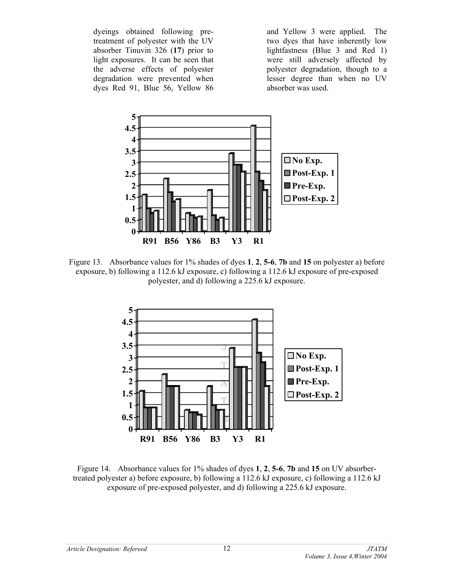dyeings obtained following pretreatment of polyester with the UV absorber Tinuvin 326 (**17**) prior to light exposures. It can be seen that the adverse effects of polyester degradation were prevented when dyes Red 91, Blue 56, Yellow 86

and Yellow 3 were applied. The two dyes that have inherently low lightfastness (Blue 3 and Red 1) were still adversely affected by polyester degradation, though to a lesser degree than when no UV absorber was used.



Figure 13. Absorbance values for 1% shades of dyes **1**, **2**, **5-6**, **7b** and **15** on polyester a) before exposure, b) following a 112.6 kJ exposure, c) following a 112.6 kJ exposure of pre-exposed polyester, and d) following a 225.6 kJ exposure.



Figure 14. Absorbance values for 1% shades of dyes **1**, **2**, **5-6**, **7b** and **15** on UV absorbertreated polyester a) before exposure, b) following a 112.6 kJ exposure, c) following a 112.6 kJ exposure of pre-exposed polyester, and d) following a 225.6 kJ exposure.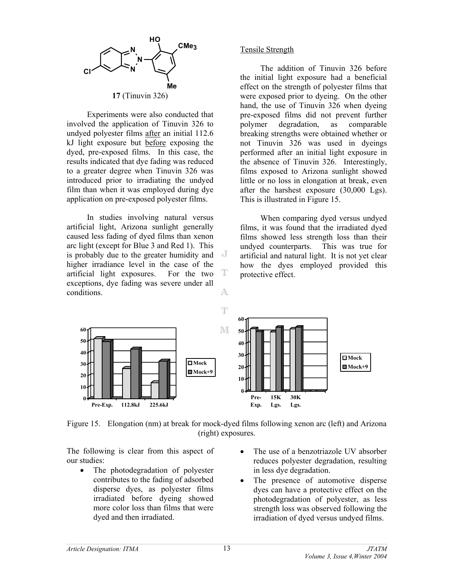

Experiments were also conducted that involved the application of Tinuvin 326 to undyed polyester films after an initial 112.6 kJ light exposure but before exposing the dyed, pre-exposed films. In this case, the results indicated that dye fading was reduced to a greater degree when Tinuvin 326 was introduced prior to irradiating the undyed film than when it was employed during dye application on pre-exposed polyester films.

 In studies involving natural versus artificial light, Arizona sunlight generally caused less fading of dyed films than xenon arc light (except for Blue 3 and Red 1). This is probably due to the greater humidity and higher irradiance level in the case of the artificial light exposures. For the two exceptions, dye fading was severe under all conditions. A

## Tensile Strength

 The addition of Tinuvin 326 before the initial light exposure had a beneficial effect on the strength of polyester films that were exposed prior to dyeing. On the other hand, the use of Tinuvin 326 when dyeing pre-exposed films did not prevent further polymer degradation, as comparable breaking strengths were obtained whether or not Tinuvin 326 was used in dyeings performed after an initial light exposure in the absence of Tinuvin 326. Interestingly, films exposed to Arizona sunlight showed little or no loss in elongation at break, even after the harshest exposure (30,000 Lgs). This is illustrated in Figure 15.

When comparing dyed versus undyed films, it was found that the irradiated dyed films showed less strength loss than their undyed counterparts. This was true for artificial and natural light. It is not yet clear how the dyes employed provided this protective effect.



T

Figure 15. Elongation (nm) at break for mock-dyed films following xenon arc (left) and Arizona (right) exposures.

The following is clear from this aspect of our studies:

- The photodegradation of polyester contributes to the fading of adsorbed disperse dyes, as polyester films irradiated before dyeing showed more color loss than films that were dyed and then irradiated.
- The use of a benzotriazole UV absorber reduces polyester degradation, resulting in less dye degradation.
- The presence of automotive disperse dyes can have a protective effect on the photodegradation of polyester, as less strength loss was observed following the irradiation of dyed versus undyed films.